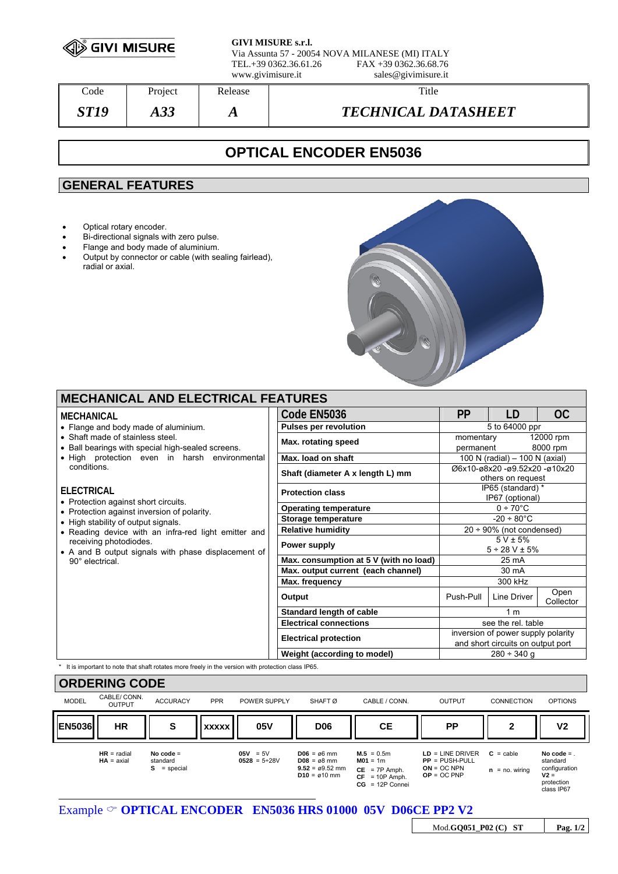

**GIVI MISURE s.r.l.** Via Assunta 57 - 20054 NOVA MILANESE (MI) ITALY TEL.+39 0362.36.61.26 FAX +39 0362.36.68.76 www.givimisure.it sales@givimisure.it

| $\mathrm{Code}$ | Project | Release | Title                      |
|-----------------|---------|---------|----------------------------|
| ST 19           | AJJ     | A       | <b>TECHNICAL DATASHEET</b> |

# **OPTICAL ENCODER EN5036**

# **GENERAL FEATURES**

- Optical rotary encoder.
- Bi-directional signals with zero pulse.
- Flange and body made of aluminium.
- Output by connector or cable (with sealing fairlead), radial or axial.



## **MECHANICAL AND ELECTRICAL FEATURES**

#### **MECHANICAL**

- Flange and body made of aluminium.
- Shaft made of stainless steel.
- Ball bearings with special high-sealed screens.
- High protection even in harsh environme conditions.

#### **ELECTRICAL**

- Protection against short circuits.
- Protection against inversion of polarity.
- High stability of output signals.
- Reading device with an infra-red light emitter receiving photodiodes.
- $\bullet$  A and B output signals with phase displacement 90° electrical.

| Code EN5036                                     | <b>PP</b>                                                               | LD                                                 | <b>OC</b>             |
|-------------------------------------------------|-------------------------------------------------------------------------|----------------------------------------------------|-----------------------|
| <b>Pulses per revolution</b>                    | 5 to 64000 ppr                                                          |                                                    |                       |
| Max. rotating speed                             | momentary<br>permanent                                                  |                                                    | 12000 rpm<br>8000 rpm |
| Max. load on shaft                              |                                                                         | 100 N (radial) - 100 N (axial)                     |                       |
| Shaft (diameter A x length L) mm                |                                                                         | Ø6x10-ø8x20 -ø9.52x20 -ø10x20<br>others on request |                       |
| <b>Protection class</b>                         | IP65 (standard) *<br>IP67 (optional)                                    |                                                    |                       |
| <b>Operating temperature</b>                    | $0 \div 70^{\circ}$ C                                                   |                                                    |                       |
| Storage temperature                             | $-20 \div 80^{\circ}$ C                                                 |                                                    |                       |
| <b>Relative humidity</b>                        | $20 \div 90\%$ (not condensed)                                          |                                                    |                       |
| Power supply                                    | $5 V \pm 5%$<br>$5 \div 28$ V $\pm 5\%$                                 |                                                    |                       |
| Max. consumption at 5 V (with no load)          | 25 mA                                                                   |                                                    |                       |
| Max. output current (each channel)              | 30 mA                                                                   |                                                    |                       |
| Max. frequency                                  | 300 kHz                                                                 |                                                    |                       |
| Output                                          | Push-Pull                                                               | Line Driver                                        | Open<br>Collector     |
| Standard length of cable                        |                                                                         | 1 <sub>m</sub>                                     |                       |
| <b>Electrical connections</b>                   | see the rel. table                                                      |                                                    |                       |
| <b>Electrical protection</b>                    | inversion of power supply polarity<br>and short circuits on output port |                                                    |                       |
| Weight (according to model)<br>$280 \div 340$ g |                                                                         |                                                    |                       |

It is important to note that shaft rotates more freely in the version with protection class IP65.

| <b>ORDERING CODE</b> |                               |                                           |              |                                   |                                                                                                        |                                                                                        |                                                                          |                                     |                                                                                |
|----------------------|-------------------------------|-------------------------------------------|--------------|-----------------------------------|--------------------------------------------------------------------------------------------------------|----------------------------------------------------------------------------------------|--------------------------------------------------------------------------|-------------------------------------|--------------------------------------------------------------------------------|
| <b>MODEL</b>         | CABLE/ CONN.<br><b>OUTPUT</b> | <b>ACCURACY</b>                           | <b>PPR</b>   | POWER SUPPLY                      | SHAFT <sub>Ø</sub>                                                                                     | CABLE / CONN.                                                                          | <b>OUTPUT</b>                                                            | <b>CONNECTION</b>                   | <b>OPTIONS</b>                                                                 |
| <b>EN5036</b>        | <b>HR</b>                     | S                                         | <b>XXXXX</b> | 05V                               | <b>D06</b>                                                                                             | <b>CE</b>                                                                              | <b>PP</b>                                                                | 2                                   | V <sub>2</sub>                                                                 |
|                      | $HR = radial$<br>$HA = axial$ | No code $=$<br>standard<br>= special<br>s |              | $05V = 5V$<br>$0528 = 5 \div 28V$ | $DO6 = \alpha 6$ mm<br>$D08 = \emptyset 8$ mm<br>$9.52 = \emptyset 9.52$ mm<br>$D10 = \emptyset 10$ mm | $M.5 = 0.5m$<br>$MO1 = 1m$<br>$CE = 7P$ Amph.<br>$CF = 10P$ Amph.<br>$CG = 12P$ Connei | $LD = LINE DRIVER$<br>$PP = PUSH-PULL$<br>$ON = OC NPN$<br>$OP = OC PNP$ | $C =$ cable<br>$=$ no. wiring<br>n. | No code $=$<br>standard<br>configuration<br>$V2 =$<br>protection<br>class IP67 |

Example  $\circ$  **OPTICAL ENCODER** EN5036 HRS 01000 05V D06CE PP2 V2

Mod.**GQ051\_P02 (C) ST Pag. 1/2**